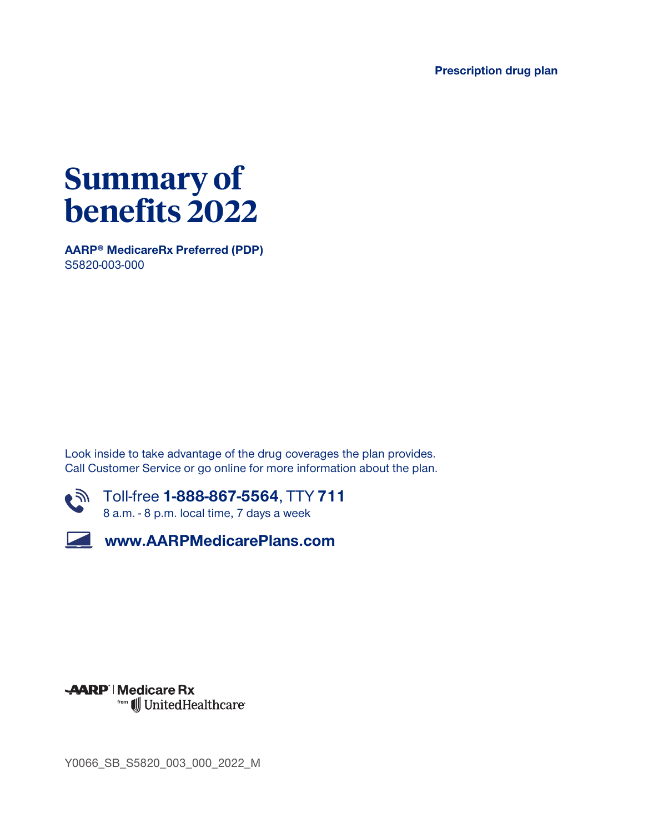**Prescription drug plan**



**AARP® MedicareRx Preferred (PDP) S5820-003-000**

**Look inside to take advantage of the drug coverages the plan provides. Call Customer Service or go online for more information about the plan.**







**Y0066\_SB\_S5820\_003\_000\_2022\_M**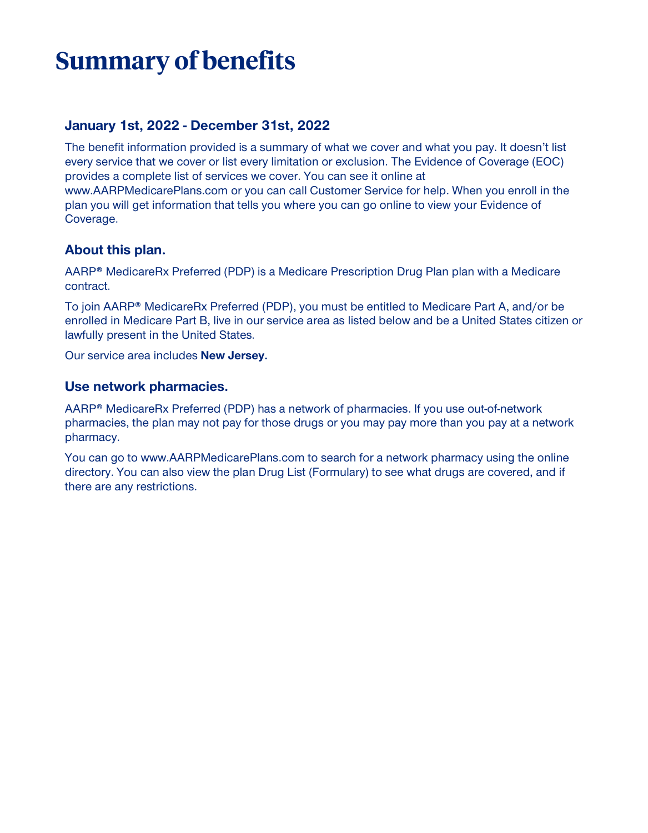# **Summary of benefits**

### **January 1st, 2022 - December 31st, 2022**

**The benefit information provided is a summary of what we cover and what you pay. It doesn't list every service that we cover or list every limitation or exclusion. The Evidence of Coverage (EOC) provides a complete list of services we cover. You can see it online at www.AARPMedicarePlans.com or you can call Customer Service for help. When you enroll in the plan you will get information that tells you where you can go online to view your Evidence of Coverage.**

### **About this plan.**

**AARP® MedicareRx Preferred (PDP) is a Medicare Prescription Drug Plan plan with a Medicare contract.**

**To join AARP® MedicareRx Preferred (PDP), you must be entitled to Medicare Part A, and/or be enrolled in Medicare Part B, live in our service area as listed below and be a United States citizen or lawfully present in the United States.**

**Our service area includes New Jersey.**

#### **Use network pharmacies.**

**AARP® MedicareRx Preferred (PDP) has a network of pharmacies. If you use out-of-network pharmacies, the plan may not pay for those drugs or you may pay more than you pay at a network pharmacy.**

**You can go to www.AARPMedicarePlans.com to search for a network pharmacy using the online directory. You can also view the plan Drug List (Formulary) to see what drugs are covered, and if there are any restrictions.**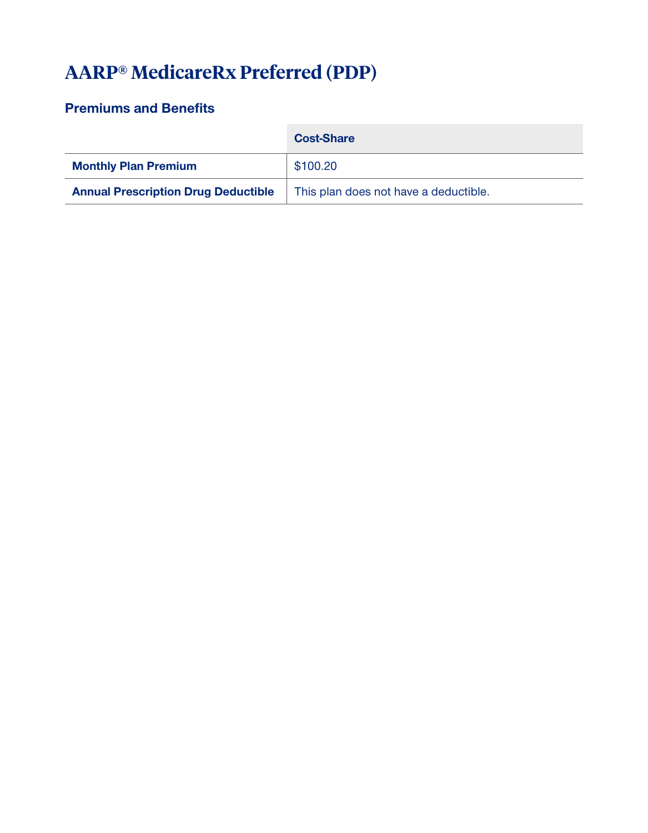# **AARP® MedicareRx Preferred (PDP)**

## **Premiums and Benefits**

|                                            | <b>Cost-Share</b>                     |
|--------------------------------------------|---------------------------------------|
| <b>Monthly Plan Premium</b>                | \$100.20                              |
| <b>Annual Prescription Drug Deductible</b> | This plan does not have a deductible. |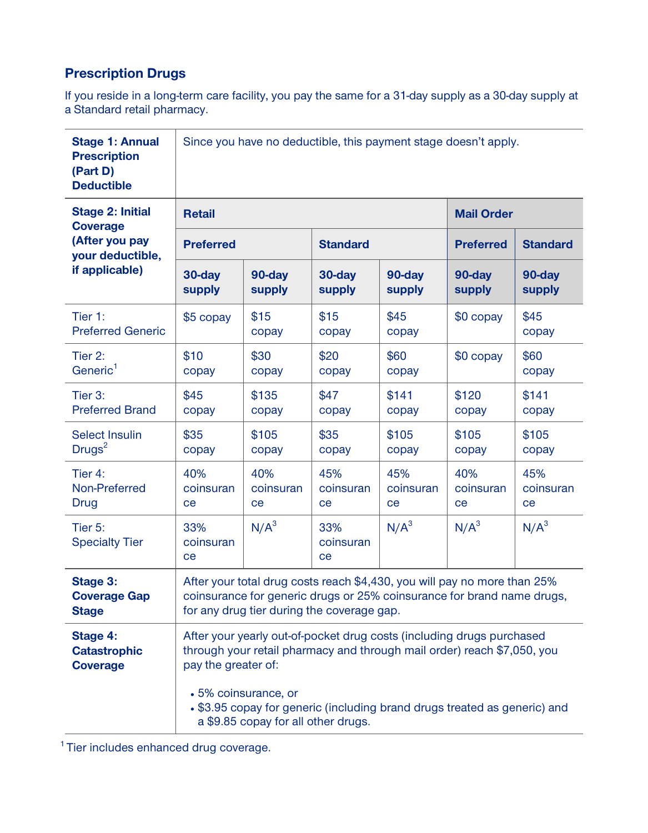# **Prescription Drugs**

**If you reside in a long-term care facility, you pay the same for a 31-day supply as a 30-day supply at a Standard retail pharmacy.**

| <b>Stage 1: Annual</b><br><b>Prescription</b><br>(Part D)<br><b>Deductible</b>                     | Since you have no deductible, this payment stage doesn't apply.                                                                                                                                                                                                                                                     |                        |                        |                        |                        |                        |  |  |
|----------------------------------------------------------------------------------------------------|---------------------------------------------------------------------------------------------------------------------------------------------------------------------------------------------------------------------------------------------------------------------------------------------------------------------|------------------------|------------------------|------------------------|------------------------|------------------------|--|--|
| <b>Stage 2: Initial</b><br><b>Coverage</b><br>(After you pay<br>your deductible,<br>if applicable) | <b>Retail</b>                                                                                                                                                                                                                                                                                                       |                        |                        |                        | <b>Mail Order</b>      |                        |  |  |
|                                                                                                    | <b>Preferred</b>                                                                                                                                                                                                                                                                                                    |                        | <b>Standard</b>        |                        | <b>Preferred</b>       | <b>Standard</b>        |  |  |
|                                                                                                    | 30-day<br>supply                                                                                                                                                                                                                                                                                                    | 90-day<br>supply       | 30-day<br>supply       | 90-day<br>supply       | 90-day<br>supply       | 90-day<br>supply       |  |  |
| Tier 1:<br><b>Preferred Generic</b>                                                                | \$5 copay                                                                                                                                                                                                                                                                                                           | \$15<br>copay          | \$15<br>copay          | \$45<br>copay          | \$0 copay              | \$45<br>copay          |  |  |
| Tier 2:<br>Generic <sup>1</sup>                                                                    | \$10<br>copay                                                                                                                                                                                                                                                                                                       | \$30<br>copay          | \$20<br>copay          | \$60<br>copay          | $$0$ copay             | \$60<br>copay          |  |  |
| Tier 3:<br><b>Preferred Brand</b>                                                                  | \$45<br>copay                                                                                                                                                                                                                                                                                                       | \$135<br>copay         | \$47<br>copay          | \$141<br>copay         | \$120<br>copay         | \$141<br>copay         |  |  |
| <b>Select Insulin</b><br>Drugs <sup>2</sup>                                                        | \$35<br>copay                                                                                                                                                                                                                                                                                                       | \$105<br>copay         | \$35<br>copay          | \$105<br>copay         | \$105<br>copay         | \$105<br>copay         |  |  |
| Tier 4:<br>Non-Preferred<br>Drug                                                                   | 40%<br>coinsuran<br>ce                                                                                                                                                                                                                                                                                              | 40%<br>coinsuran<br>ce | 45%<br>coinsuran<br>ce | 45%<br>coinsuran<br>ce | 40%<br>coinsuran<br>ce | 45%<br>coinsuran<br>ce |  |  |
| Tier 5:<br><b>Specialty Tier</b>                                                                   | 33%<br>coinsuran<br>ce                                                                                                                                                                                                                                                                                              | $N/A^3$                | 33%<br>coinsuran<br>ce | $N/A^3$                | $N/A^3$                | $N/A^3$                |  |  |
| <b>Stage 3:</b><br><b>Coverage Gap</b><br><b>Stage</b>                                             | After your total drug costs reach \$4,430, you will pay no more than 25%<br>coinsurance for generic drugs or 25% coinsurance for brand name drugs,<br>for any drug tier during the coverage gap.                                                                                                                    |                        |                        |                        |                        |                        |  |  |
| Stage 4:<br><b>Catastrophic</b><br><b>Coverage</b>                                                 | After your yearly out-of-pocket drug costs (including drugs purchased<br>through your retail pharmacy and through mail order) reach \$7,050, you<br>pay the greater of:<br>• 5% coinsurance, or<br>• \$3.95 copay for generic (including brand drugs treated as generic) and<br>a \$9.85 copay for all other drugs. |                        |                        |                        |                        |                        |  |  |
|                                                                                                    |                                                                                                                                                                                                                                                                                                                     |                        |                        |                        |                        |                        |  |  |

**<sup>1</sup>Tier includes enhanced drug coverage.**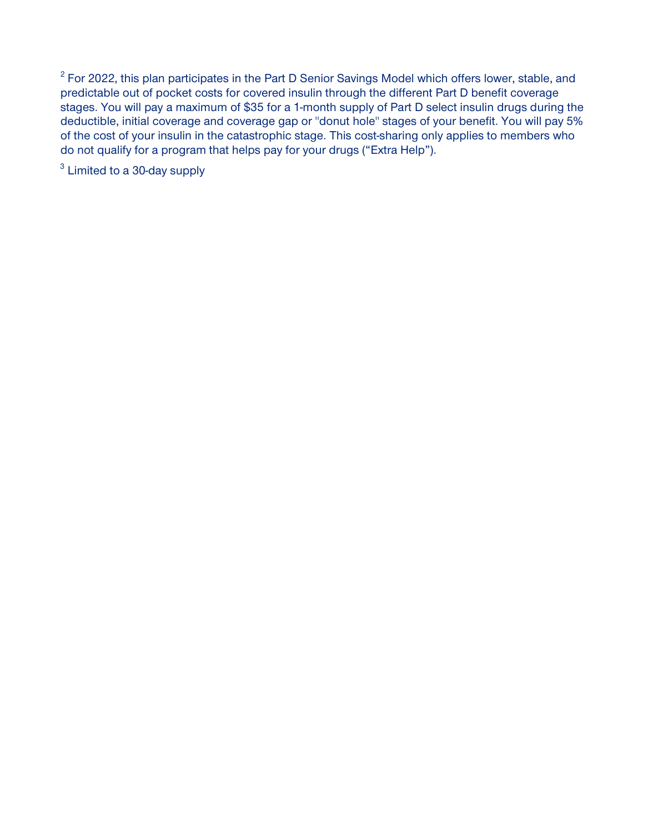**2 For 2022, this plan participates in the Part D Senior Savings Model which offers lower, stable, and predictable out of pocket costs for covered insulin through the different Part D benefit coverage stages. You will pay a maximum of \$35 for a 1-month supply of Part D select insulin drugs during the deductible, initial coverage and coverage gap or "donut hole" stages of your benefit. You will pay 5% of the cost of your insulin in the catastrophic stage. This cost-sharing only applies to members who do not qualify for a program that helps pay for your drugs ("Extra Help").**

**3 Limited to a 30-day supply**